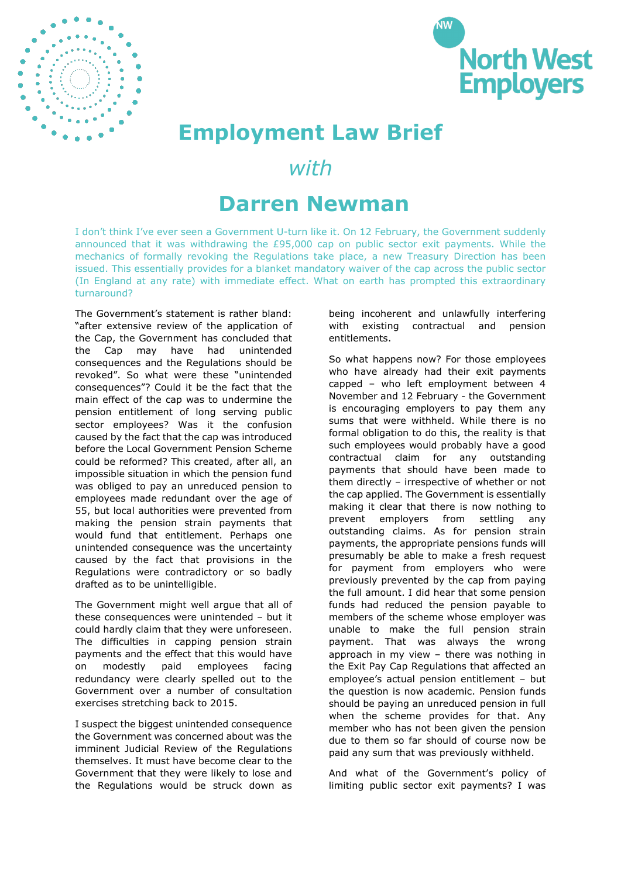



## **Employment Law Brief**

## *with*

## **Darren Newman**

I don't think I've ever seen a Government U-turn like it. On 12 February, the Government suddenly announced that it was withdrawing the £95,000 cap on public sector exit payments. While the mechanics of formally revoking the Regulations take place, a new Treasury Direction has been issued. This essentially provides for a blanket mandatory waiver of the cap across the public sector (In England at any rate) with immediate effect. What on earth has prompted this extraordinary turnaround?

The Government's statement is rather bland: "after extensive review of the application of the Cap, the Government has concluded that the Cap may have had unintended consequences and the Regulations should be revoked". So what were these "unintended consequences"? Could it be the fact that the main effect of the cap was to undermine the pension entitlement of long serving public sector employees? Was it the confusion caused by the fact that the cap was introduced before the Local Government Pension Scheme could be reformed? This created, after all, an impossible situation in which the pension fund was obliged to pay an unreduced pension to employees made redundant over the age of 55, but local authorities were prevented from making the pension strain payments that would fund that entitlement. Perhaps one unintended consequence was the uncertainty caused by the fact that provisions in the Regulations were contradictory or so badly drafted as to be unintelligible.

The Government might well argue that all of these consequences were unintended – but it could hardly claim that they were unforeseen. The difficulties in capping pension strain payments and the effect that this would have on modestly paid employees facing redundancy were clearly spelled out to the Government over a number of consultation exercises stretching back to 2015.

I suspect the biggest unintended consequence the Government was concerned about was the imminent Judicial Review of the Regulations themselves. It must have become clear to the Government that they were likely to lose and the Regulations would be struck down as

being incoherent and unlawfully interfering with existing contractual and pension entitlements.

So what happens now? For those employees who have already had their exit payments capped – who left employment between 4 November and 12 February - the Government is encouraging employers to pay them any sums that were withheld. While there is no formal obligation to do this, the reality is that such employees would probably have a good contractual claim for any outstanding payments that should have been made to them directly – irrespective of whether or not the cap applied. The Government is essentially making it clear that there is now nothing to prevent employers from settling any outstanding claims. As for pension strain payments, the appropriate pensions funds will presumably be able to make a fresh request for payment from employers who were previously prevented by the cap from paying the full amount. I did hear that some pension funds had reduced the pension payable to members of the scheme whose employer was unable to make the full pension strain payment. That was always the wrong approach in my view – there was nothing in the Exit Pay Cap Regulations that affected an employee's actual pension entitlement – but the question is now academic. Pension funds should be paying an unreduced pension in full when the scheme provides for that. Any member who has not been given the pension due to them so far should of course now be paid any sum that was previously withheld.

And what of the Government's policy of limiting public sector exit payments? I was